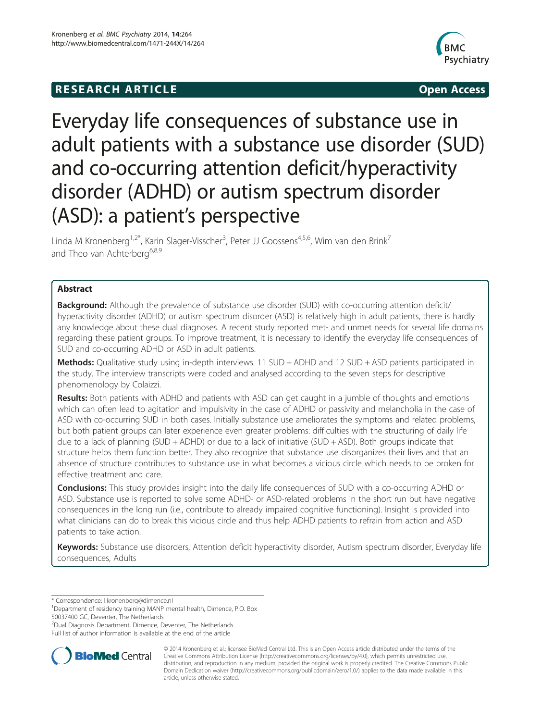## **RESEARCH ARTICLE Example 2014 CONSIDERING CONSIDERING CONSIDERING CONSIDERING CONSIDERING CONSIDERING CONSIDERING CONSIDERING CONSIDERING CONSIDERING CONSIDERING CONSIDERING CONSIDERING CONSIDERING CONSIDERING CONSIDE**



# Everyday life consequences of substance use in adult patients with a substance use disorder (SUD) and co-occurring attention deficit/hyperactivity disorder (ADHD) or autism spectrum disorder (ASD): a patient's perspective

Linda M Kronenberg<sup>1,2\*</sup>, Karin Slager-Visscher<sup>3</sup>, Peter JJ Goossens<sup>4,5,6</sup>, Wim van den Brink<sup>7</sup> and Theo van Achterberg<sup>6,8,9</sup>

## Abstract

**Background:** Although the prevalence of substance use disorder (SUD) with co-occurring attention deficit/ hyperactivity disorder (ADHD) or autism spectrum disorder (ASD) is relatively high in adult patients, there is hardly any knowledge about these dual diagnoses. A recent study reported met- and unmet needs for several life domains regarding these patient groups. To improve treatment, it is necessary to identify the everyday life consequences of SUD and co-occurring ADHD or ASD in adult patients.

Methods: Qualitative study using in-depth interviews. 11 SUD + ADHD and 12 SUD + ASD patients participated in the study. The interview transcripts were coded and analysed according to the seven steps for descriptive phenomenology by Colaizzi.

Results: Both patients with ADHD and patients with ASD can get caught in a jumble of thoughts and emotions which can often lead to agitation and impulsivity in the case of ADHD or passivity and melancholia in the case of ASD with co-occurring SUD in both cases. Initially substance use ameliorates the symptoms and related problems, but both patient groups can later experience even greater problems: difficulties with the structuring of daily life due to a lack of planning (SUD + ADHD) or due to a lack of initiative (SUD + ASD). Both groups indicate that structure helps them function better. They also recognize that substance use disorganizes their lives and that an absence of structure contributes to substance use in what becomes a vicious circle which needs to be broken for effective treatment and care.

**Conclusions:** This study provides insight into the daily life consequences of SUD with a co-occurring ADHD or ASD. Substance use is reported to solve some ADHD- or ASD-related problems in the short run but have negative consequences in the long run (i.e., contribute to already impaired cognitive functioning). Insight is provided into what clinicians can do to break this vicious circle and thus help ADHD patients to refrain from action and ASD patients to take action.

Keywords: Substance use disorders, Attention deficit hyperactivity disorder, Autism spectrum disorder, Everyday life consequences, Adults

\* Correspondence: [l.kronenberg@dimence.nl](mailto:l.kronenberg@dimence.nl) <sup>1</sup>

<sup>2</sup>Dual Diagnosis Department, Dimence, Deventer, The Netherlands

Full list of author information is available at the end of the article



© 2014 Kronenberg et al.; licensee BioMed Central Ltd. This is an Open Access article distributed under the terms of the Creative Commons Attribution License (<http://creativecommons.org/licenses/by/4.0>), which permits unrestricted use, distribution, and reproduction in any medium, provided the original work is properly credited. The Creative Commons Public Domain Dedication waiver [\(http://creativecommons.org/publicdomain/zero/1.0/\)](http://creativecommons.org/publicdomain/zero/1.0/) applies to the data made available in this article, unless otherwise stated.

Department of residency training MANP mental health, Dimence, P.O. Box 50037400 GC, Deventer, The Netherlands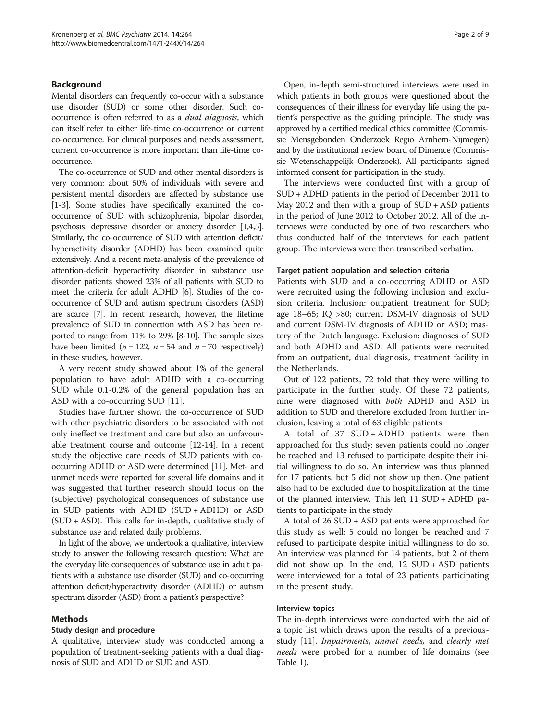## Background

Mental disorders can frequently co-occur with a substance use disorder (SUD) or some other disorder. Such cooccurrence is often referred to as a dual diagnosis, which can itself refer to either life-time co-occurrence or current co-occurrence. For clinical purposes and needs assessment, current co-occurrence is more important than life-time cooccurrence.

The co-occurrence of SUD and other mental disorders is very common: about 50% of individuals with severe and persistent mental disorders are affected by substance use [[1](#page-7-0)-[3\]](#page-7-0). Some studies have specifically examined the cooccurrence of SUD with schizophrenia, bipolar disorder, psychosis, depressive disorder or anxiety disorder [\[1,4,5](#page-7-0)]. Similarly, the co-occurrence of SUD with attention deficit/ hyperactivity disorder (ADHD) has been examined quite extensively. And a recent meta-analysis of the prevalence of attention-deficit hyperactivity disorder in substance use disorder patients showed 23% of all patients with SUD to meet the criteria for adult ADHD [\[6\]](#page-7-0). Studies of the cooccurrence of SUD and autism spectrum disorders (ASD) are scarce [\[7\]](#page-8-0). In recent research, however, the lifetime prevalence of SUD in connection with ASD has been reported to range from 11% to 29% [\[8-10\]](#page-8-0). The sample sizes have been limited ( $n = 122$ ,  $n = 54$  and  $n = 70$  respectively) in these studies, however.

A very recent study showed about 1% of the general population to have adult ADHD with a co-occurring SUD while 0.1-0.2% of the general population has an ASD with a co-occurring SUD [[11\]](#page-8-0).

Studies have further shown the co-occurrence of SUD with other psychiatric disorders to be associated with not only ineffective treatment and care but also an unfavourable treatment course and outcome [\[12-14\]](#page-8-0). In a recent study the objective care needs of SUD patients with cooccurring ADHD or ASD were determined [[11](#page-8-0)]. Met- and unmet needs were reported for several life domains and it was suggested that further research should focus on the (subjective) psychological consequences of substance use in SUD patients with ADHD (SUD + ADHD) or ASD (SUD + ASD). This calls for in-depth, qualitative study of substance use and related daily problems.

In light of the above, we undertook a qualitative, interview study to answer the following research question: What are the everyday life consequences of substance use in adult patients with a substance use disorder (SUD) and co-occurring attention deficit/hyperactivity disorder (ADHD) or autism spectrum disorder (ASD) from a patient's perspective?

## Methods

## Study design and procedure

A qualitative, interview study was conducted among a population of treatment-seeking patients with a dual diagnosis of SUD and ADHD or SUD and ASD.

Open, in-depth semi-structured interviews were used in which patients in both groups were questioned about the consequences of their illness for everyday life using the patient's perspective as the guiding principle. The study was approved by a certified medical ethics committee (Commissie Mensgebonden Onderzoek Regio Arnhem-Nijmegen) and by the institutional review board of Dimence (Commissie Wetenschappelijk Onderzoek). All participants signed informed consent for participation in the study.

The interviews were conducted first with a group of SUD + ADHD patients in the period of December 2011 to May 2012 and then with a group of  $SUD + ASD$  patients in the period of June 2012 to October 2012. All of the interviews were conducted by one of two researchers who thus conducted half of the interviews for each patient group. The interviews were then transcribed verbatim.

### Target patient population and selection criteria

Patients with SUD and a co-occurring ADHD or ASD were recruited using the following inclusion and exclusion criteria. Inclusion: outpatient treatment for SUD; age 18–65; IQ >80; current DSM-IV diagnosis of SUD and current DSM-IV diagnosis of ADHD or ASD; mastery of the Dutch language. Exclusion: diagnoses of SUD and both ADHD and ASD. All patients were recruited from an outpatient, dual diagnosis, treatment facility in the Netherlands.

Out of 122 patients, 72 told that they were willing to participate in the further study. Of these 72 patients, nine were diagnosed with both ADHD and ASD in addition to SUD and therefore excluded from further inclusion, leaving a total of 63 eligible patients.

A total of 37 SUD + ADHD patients were then approached for this study: seven patients could no longer be reached and 13 refused to participate despite their initial willingness to do so. An interview was thus planned for 17 patients, but 5 did not show up then. One patient also had to be excluded due to hospitalization at the time of the planned interview. This left 11 SUD + ADHD patients to participate in the study.

A total of 26 SUD + ASD patients were approached for this study as well: 5 could no longer be reached and 7 refused to participate despite initial willingness to do so. An interview was planned for 14 patients, but 2 of them did not show up. In the end,  $12$  SUD + ASD patients were interviewed for a total of 23 patients participating in the present study.

#### Interview topics

The in-depth interviews were conducted with the aid of a topic list which draws upon the results of a previousstudy [\[11](#page-8-0)]. Impairments, unmet needs, and clearly met needs were probed for a number of life domains (see Table [1\)](#page-2-0).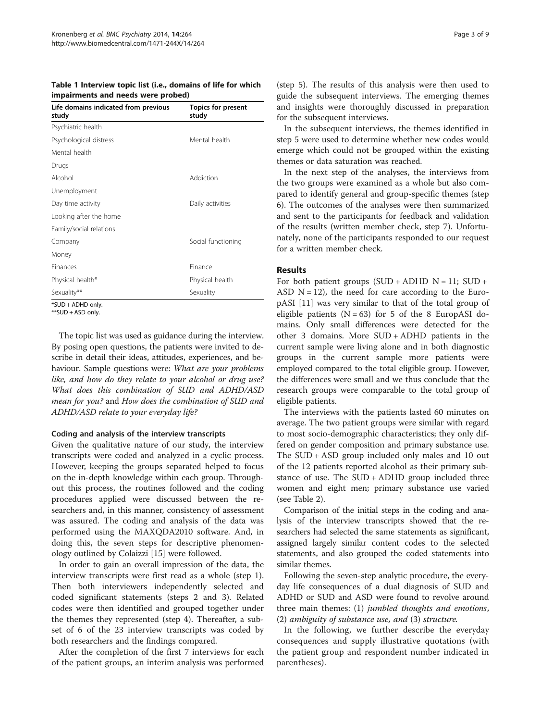<span id="page-2-0"></span>Table 1 Interview topic list (i.e., domains of life for which impairments and needs were probed)

| Life domains indicated from previous<br>study | <b>Topics for present</b><br>study |  |  |
|-----------------------------------------------|------------------------------------|--|--|
| Psychiatric health                            |                                    |  |  |
| Psychological distress                        | Mental health                      |  |  |
| Mental health                                 |                                    |  |  |
| Drugs                                         |                                    |  |  |
| Alcohol                                       | Addiction                          |  |  |
| Unemployment                                  |                                    |  |  |
| Day time activity                             | Daily activities                   |  |  |
| Looking after the home                        |                                    |  |  |
| Family/social relations                       |                                    |  |  |
| Company                                       | Social functioning                 |  |  |
| Money                                         |                                    |  |  |
| Finances                                      | Finance                            |  |  |
| Physical health*                              | Physical health                    |  |  |
| Sexuality**                                   | Sexuality                          |  |  |
| $*$ CLID + ADHD only                          |                                    |  |  |

\*SUD + ADHD only. \*\*SUD + ASD only.

The topic list was used as guidance during the interview. By posing open questions, the patients were invited to describe in detail their ideas, attitudes, experiences, and behaviour. Sample questions were: What are your problems like, and how do they relate to your alcohol or drug use? What does this combination of SUD and ADHD/ASD mean for you? and How does the combination of SUD and ADHD/ASD relate to your everyday life?

## Coding and analysis of the interview transcripts

Given the qualitative nature of our study, the interview transcripts were coded and analyzed in a cyclic process. However, keeping the groups separated helped to focus on the in-depth knowledge within each group. Throughout this process, the routines followed and the coding procedures applied were discussed between the researchers and, in this manner, consistency of assessment was assured. The coding and analysis of the data was performed using the MAXQDA2010 software. And, in doing this, the seven steps for descriptive phenomenology outlined by Colaizzi [\[15](#page-8-0)] were followed.

In order to gain an overall impression of the data, the interview transcripts were first read as a whole (step 1). Then both interviewers independently selected and coded significant statements (steps 2 and 3). Related codes were then identified and grouped together under the themes they represented (step 4). Thereafter, a subset of 6 of the 23 interview transcripts was coded by both researchers and the findings compared.

After the completion of the first 7 interviews for each of the patient groups, an interim analysis was performed

(step 5). The results of this analysis were then used to guide the subsequent interviews. The emerging themes and insights were thoroughly discussed in preparation for the subsequent interviews.

In the subsequent interviews, the themes identified in step 5 were used to determine whether new codes would emerge which could not be grouped within the existing themes or data saturation was reached.

In the next step of the analyses, the interviews from the two groups were examined as a whole but also compared to identify general and group-specific themes (step 6). The outcomes of the analyses were then summarized and sent to the participants for feedback and validation of the results (written member check, step 7). Unfortunately, none of the participants responded to our request for a written member check.

## Results

For both patient groups  $(SUD + ADHD N = 11; SUD +$ ASD  $N = 12$ ), the need for care according to the EuropASI [\[11](#page-8-0)] was very similar to that of the total group of eligible patients  $(N = 63)$  for 5 of the 8 EuropASI domains. Only small differences were detected for the other 3 domains. More SUD + ADHD patients in the current sample were living alone and in both diagnostic groups in the current sample more patients were employed compared to the total eligible group. However, the differences were small and we thus conclude that the research groups were comparable to the total group of eligible patients.

The interviews with the patients lasted 60 minutes on average. The two patient groups were similar with regard to most socio-demographic characteristics; they only differed on gender composition and primary substance use. The SUD + ASD group included only males and 10 out of the 12 patients reported alcohol as their primary substance of use. The SUD + ADHD group included three women and eight men; primary substance use varied (see Table [2\)](#page-3-0).

Comparison of the initial steps in the coding and analysis of the interview transcripts showed that the researchers had selected the same statements as significant, assigned largely similar content codes to the selected statements, and also grouped the coded statements into similar themes.

Following the seven-step analytic procedure, the everyday life consequences of a dual diagnosis of SUD and ADHD or SUD and ASD were found to revolve around three main themes: (1) jumbled thoughts and emotions, (2) ambiguity of substance use, and (3) structure.

In the following, we further describe the everyday consequences and supply illustrative quotations (with the patient group and respondent number indicated in parentheses).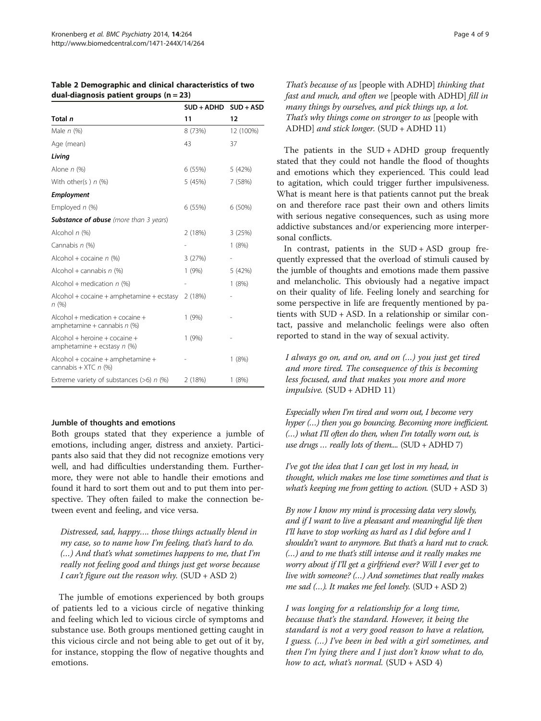<span id="page-3-0"></span>

|                                          |  |  | Table 2 Demographic and clinical characteristics of two |  |  |
|------------------------------------------|--|--|---------------------------------------------------------|--|--|
| dual-diagnosis patient groups $(n = 23)$ |  |  |                                                         |  |  |

|                                                                    | $SUD + ADHD$ | $SUD + ASD$ |
|--------------------------------------------------------------------|--------------|-------------|
| Total n                                                            | 11           | 12          |
| Male $n$ (%)                                                       | 8 (73%)      | 12 (100%)   |
| Age (mean)                                                         | 43           | 37          |
| Living                                                             |              |             |
| Alone $n$ (%)                                                      | 6 (55%)      | 5 (42%)     |
| With other(s) $n$ (%)                                              | 5 (45%)      | 7 (58%)     |
| <b>Employment</b>                                                  |              |             |
| Employed n (%)                                                     | 6 (55%)      | $6(50\%)$   |
| <b>Substance of abuse</b> (more than 3 years)                      |              |             |
| Alcohol n (%)                                                      | 2(18%)       | 3(25%)      |
| Cannabis n (%)                                                     |              | 1(8%)       |
| Alcohol + cocaine $n$ (%)                                          | 3(27%)       |             |
| Alcohol + cannabis $n$ (%)                                         | 1(9%)        | 5 (42%)     |
| Alcohol + medication $n$ (%)                                       |              | 1(8%)       |
| Alcohol + cocaine + amphetamine + ecstasy<br>n(%)                  | 2(18%)       |             |
| Alcohol + medication + cocaine +<br>amphetamine + cannabis $n$ (%) | 1(9%)        |             |
| Alcohol + heroine + cocaine +<br>amphetamine + ecstasy $n$ (%)     | 1(9%)        |             |
| Alcohol + cocaine + amphetamine +<br>cannabis + XTC $n$ (%)        |              | 1(8%)       |
| Extreme variety of substances (>6) $n$ (%)                         | 2(18%)       | 1(8%)       |

#### Jumble of thoughts and emotions

Both groups stated that they experience a jumble of emotions, including anger, distress and anxiety. Participants also said that they did not recognize emotions very well, and had difficulties understanding them. Furthermore, they were not able to handle their emotions and found it hard to sort them out and to put them into perspective. They often failed to make the connection between event and feeling, and vice versa.

Distressed, sad, happy…. those things actually blend in my case, so to name how I'm feeling, that's hard to do. (…) And that's what sometimes happens to me, that I'm really not feeling good and things just get worse because *I can't figure out the reason why.*  $(SUD + ASD 2)$ 

The jumble of emotions experienced by both groups of patients led to a vicious circle of negative thinking and feeling which led to vicious circle of symptoms and substance use. Both groups mentioned getting caught in this vicious circle and not being able to get out of it by, for instance, stopping the flow of negative thoughts and emotions.

That's because of us [people with ADHD] thinking that fast and much, and often we [people with ADHD] fill in many things by ourselves, and pick things up, a lot. That's why things come on stronger to us [people with ADHD] and stick longer. (SUD + ADHD 11)

The patients in the  $SUB + ADHD$  group frequently stated that they could not handle the flood of thoughts and emotions which they experienced. This could lead to agitation, which could trigger further impulsiveness. What is meant here is that patients cannot put the break on and therefore race past their own and others limits with serious negative consequences, such as using more addictive substances and/or experiencing more interpersonal conflicts.

In contrast, patients in the  $SUB + ASD$  group frequently expressed that the overload of stimuli caused by the jumble of thoughts and emotions made them passive and melancholic. This obviously had a negative impact on their quality of life. Feeling lonely and searching for some perspective in life are frequently mentioned by patients with SUD + ASD. In a relationship or similar contact, passive and melancholic feelings were also often reported to stand in the way of sexual activity.

I always go on, and on, and on (…) you just get tired and more tired. The consequence of this is becoming less focused, and that makes you more and more impulsive. (SUD + ADHD 11)

Especially when I'm tired and worn out, I become very hyper  $(...)$  then you go bouncing. Becoming more inefficient. (…) what I'll often do then, when I'm totally worn out, is use drugs … really lots of them.... (SUD + ADHD 7)

I've got the idea that I can get lost in my head, in thought, which makes me lose time sometimes and that is what's keeping me from getting to action.  $(SUD + ASD 3)$ 

By now I know my mind is processing data very slowly, and if I want to live a pleasant and meaningful life then I'll have to stop working as hard as I did before and I shouldn't want to anymore. But that's a hard nut to crack. (…) and to me that's still intense and it really makes me worry about if I'll get a girlfriend ever? Will I ever get to live with someone? (…) And sometimes that really makes me sad  $(...)$ . It makes me feel lonely.  $(SUD + ASD 2)$ 

I was longing for a relationship for a long time, because that's the standard. However, it being the standard is not a very good reason to have a relation, I guess. (…) I've been in bed with a girl sometimes, and then I'm lying there and I just don't know what to do, how to act, what's normal.  $(SUD + ASD 4)$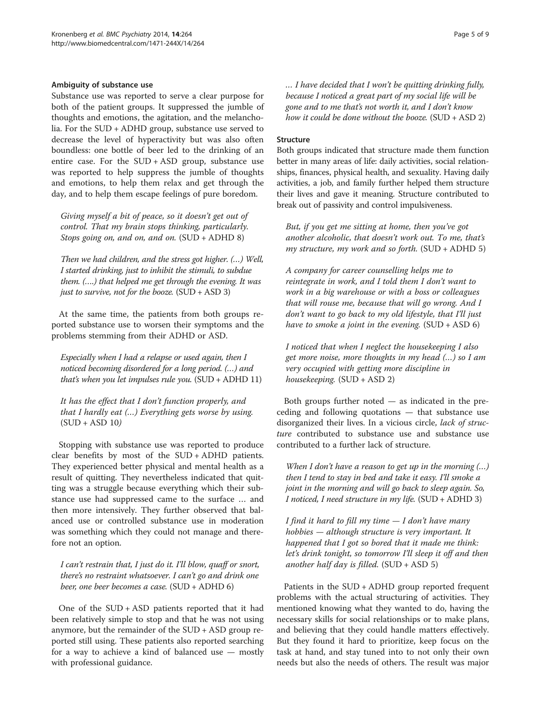### Ambiguity of substance use

Substance use was reported to serve a clear purpose for both of the patient groups. It suppressed the jumble of thoughts and emotions, the agitation, and the melancholia. For the SUD + ADHD group, substance use served to decrease the level of hyperactivity but was also often boundless: one bottle of beer led to the drinking of an entire case. For the  $SUB + ASD$  group, substance use was reported to help suppress the jumble of thoughts and emotions, to help them relax and get through the day, and to help them escape feelings of pure boredom.

Giving myself a bit of peace, so it doesn't get out of control. That my brain stops thinking, particularly. Stops going on, and on, and on. (SUD + ADHD 8)

Then we had children, and the stress got higher. (…) Well, I started drinking, just to inhibit the stimuli, to subdue them. (….) that helped me get through the evening. It was just to survive, not for the booze.  $(SUD + ASD 3)$ 

At the same time, the patients from both groups reported substance use to worsen their symptoms and the problems stemming from their ADHD or ASD.

Especially when I had a relapse or used again, then I noticed becoming disordered for a long period. (…) and that's when you let impulses rule you.  $(SUD + ADHD 11)$ 

It has the effect that I don't function properly, and that I hardly eat (…) Everything gets worse by using.  $(SUD + ASD 10)$ 

Stopping with substance use was reported to produce clear benefits by most of the SUD + ADHD patients. They experienced better physical and mental health as a result of quitting. They nevertheless indicated that quitting was a struggle because everything which their substance use had suppressed came to the surface … and then more intensively. They further observed that balanced use or controlled substance use in moderation was something which they could not manage and therefore not an option.

I can't restrain that, I just do it. I'll blow, quaff or snort, there's no restraint whatsoever. I can't go and drink one beer, one beer becomes a case. (SUD + ADHD 6)

One of the SUD + ASD patients reported that it had been relatively simple to stop and that he was not using anymore, but the remainder of the SUD + ASD group reported still using. These patients also reported searching for a way to achieve a kind of balanced use — mostly with professional guidance.

… I have decided that I won't be quitting drinking fully, because I noticed a great part of my social life will be gone and to me that's not worth it, and I don't know how it could be done without the booze.  $(SUD + ASD 2)$ 

#### **Structure**

Both groups indicated that structure made them function better in many areas of life: daily activities, social relationships, finances, physical health, and sexuality. Having daily activities, a job, and family further helped them structure their lives and gave it meaning. Structure contributed to break out of passivity and control impulsiveness.

But, if you get me sitting at home, then you've got another alcoholic, that doesn't work out. To me, that's my structure, my work and so forth.  $(SUD + ADHD 5)$ 

A company for career counselling helps me to reintegrate in work, and I told them I don't want to work in a big warehouse or with a boss or colleagues that will rouse me, because that will go wrong. And I don't want to go back to my old lifestyle, that I'll just have to smoke a joint in the evening.  $(SUD + ASD 6)$ 

I noticed that when I neglect the housekeeping I also get more noise, more thoughts in my head (…) so I am very occupied with getting more discipline in housekeeping. (SUD + ASD 2)

Both groups further noted  $-$  as indicated in the preceding and following quotations — that substance use disorganized their lives. In a vicious circle, lack of structure contributed to substance use and substance use contributed to a further lack of structure.

When I don't have a reason to get up in the morning  $(...)$ then I tend to stay in bed and take it easy. I'll smoke a joint in the morning and will go back to sleep again. So, I noticed, I need structure in my life. (SUD + ADHD 3)

I find it hard to fill my time  $-I$  don't have many hobbies — although structure is very important. It happened that I got so bored that it made me think: let's drink tonight, so tomorrow I'll sleep it off and then another half day is filled.  $(SUD + ASD 5)$ 

Patients in the SUD + ADHD group reported frequent problems with the actual structuring of activities. They mentioned knowing what they wanted to do, having the necessary skills for social relationships or to make plans, and believing that they could handle matters effectively. But they found it hard to prioritize, keep focus on the task at hand, and stay tuned into to not only their own needs but also the needs of others. The result was major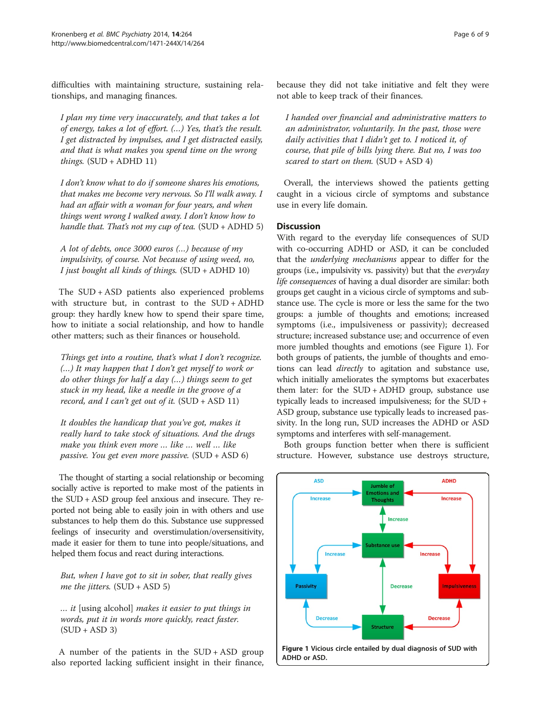<span id="page-5-0"></span>difficulties with maintaining structure, sustaining relationships, and managing finances.

I plan my time very inaccurately, and that takes a lot of energy, takes a lot of effort. (…) Yes, that's the result. I get distracted by impulses, and I get distracted easily, and that is what makes you spend time on the wrong  $things. (SUD + ADHD 11)$ 

I don't know what to do if someone shares his emotions, that makes me become very nervous. So I'll walk away. I had an affair with a woman for four years, and when things went wrong I walked away. I don't know how to handle that. That's not my cup of tea.  $(SUD + ADHD 5)$ 

A lot of debts, once 3000 euros (…) because of my impulsivity, of course. Not because of using weed, no, I just bought all kinds of things. (SUD + ADHD 10)

The SUD + ASD patients also experienced problems with structure but, in contrast to the SUD + ADHD group: they hardly knew how to spend their spare time, how to initiate a social relationship, and how to handle other matters; such as their finances or household.

Things get into a routine, that's what I don't recognize. (…) It may happen that I don't get myself to work or do other things for half a day (…) things seem to get stuck in my head, like a needle in the groove of a record, and I can't get out of it.  $(SUD + ASD 11)$ 

It doubles the handicap that you've got, makes it really hard to take stock of situations. And the drugs make you think even more … like … well … like passive. You get even more passive. (SUD + ASD 6)

The thought of starting a social relationship or becoming socially active is reported to make most of the patients in the SUD + ASD group feel anxious and insecure. They reported not being able to easily join in with others and use substances to help them do this. Substance use suppressed feelings of insecurity and overstimulation/oversensitivity, made it easier for them to tune into people/situations, and helped them focus and react during interactions.

But, when I have got to sit in sober, that really gives me the jitters.  $(SUD + ASD 5)$ 

… it [using alcohol] makes it easier to put things in words, put it in words more quickly, react faster.  $(SUD + ASD 3)$ 

A number of the patients in the  $SUB + ASD$  group also reported lacking sufficient insight in their finance, because they did not take initiative and felt they were not able to keep track of their finances.

I handed over financial and administrative matters to an administrator, voluntarily. In the past, those were daily activities that I didn't get to. I noticed it, of course, that pile of bills lying there. But no, I was too scared to start on them.  $(SUD + ASD 4)$ 

Overall, the interviews showed the patients getting caught in a vicious circle of symptoms and substance use in every life domain.

## **Discussion**

With regard to the everyday life consequences of SUD with co-occurring ADHD or ASD, it can be concluded that the underlying mechanisms appear to differ for the groups (i.e., impulsivity vs. passivity) but that the everyday life consequences of having a dual disorder are similar: both groups get caught in a vicious circle of symptoms and substance use. The cycle is more or less the same for the two groups: a jumble of thoughts and emotions; increased symptoms (i.e., impulsiveness or passivity); decreased structure; increased substance use; and occurrence of even more jumbled thoughts and emotions (see Figure 1). For both groups of patients, the jumble of thoughts and emotions can lead *directly* to agitation and substance use, which initially ameliorates the symptoms but exacerbates them later: for the SUD + ADHD group, substance use typically leads to increased impulsiveness; for the SUD + ASD group, substance use typically leads to increased passivity. In the long run, SUD increases the ADHD or ASD symptoms and interferes with self-management.

Both groups function better when there is sufficient structure. However, substance use destroys structure,

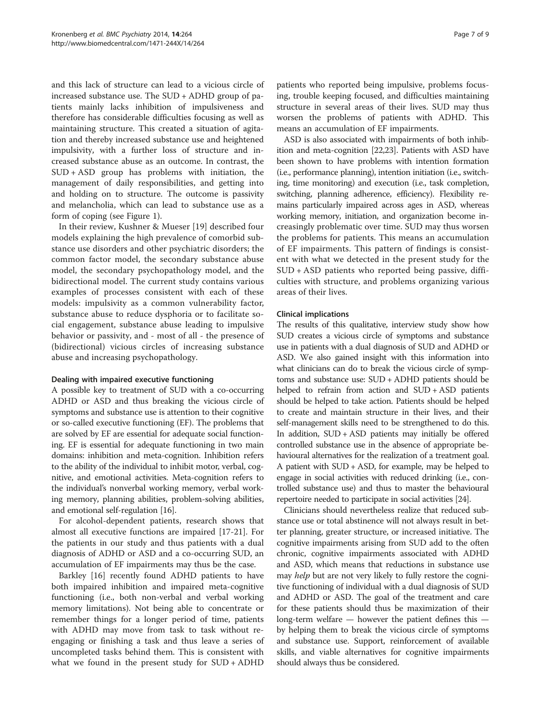and this lack of structure can lead to a vicious circle of increased substance use. The SUD + ADHD group of patients mainly lacks inhibition of impulsiveness and therefore has considerable difficulties focusing as well as maintaining structure. This created a situation of agitation and thereby increased substance use and heightened impulsivity, with a further loss of structure and increased substance abuse as an outcome. In contrast, the  $SUB + ASD$  group has problems with initiation, the management of daily responsibilities, and getting into and holding on to structure. The outcome is passivity and melancholia, which can lead to substance use as a form of coping (see Figure [1](#page-5-0)).

In their review, Kushner & Mueser [\[19](#page-8-0)] described four models explaining the high prevalence of comorbid substance use disorders and other psychiatric disorders; the common factor model, the secondary substance abuse model, the secondary psychopathology model, and the bidirectional model. The current study contains various examples of processes consistent with each of these models: impulsivity as a common vulnerability factor, substance abuse to reduce dysphoria or to facilitate social engagement, substance abuse leading to impulsive behavior or passivity, and - most of all - the presence of (bidirectional) vicious circles of increasing substance abuse and increasing psychopathology.

## Dealing with impaired executive functioning

A possible key to treatment of SUD with a co-occurring ADHD or ASD and thus breaking the vicious circle of symptoms and substance use is attention to their cognitive or so-called executive functioning (EF). The problems that are solved by EF are essential for adequate social functioning. EF is essential for adequate functioning in two main domains: inhibition and meta-cognition. Inhibition refers to the ability of the individual to inhibit motor, verbal, cognitive, and emotional activities. Meta-cognition refers to the individual's nonverbal working memory, verbal working memory, planning abilities, problem-solving abilities, and emotional self-regulation [\[16](#page-8-0)].

For alcohol-dependent patients, research shows that almost all executive functions are impaired [\[17](#page-8-0)-[21](#page-8-0)]. For the patients in our study and thus patients with a dual diagnosis of ADHD or ASD and a co-occurring SUD, an accumulation of EF impairments may thus be the case.

Barkley [\[16](#page-8-0)] recently found ADHD patients to have both impaired inhibition and impaired meta-cognitive functioning (i.e., both non-verbal and verbal working memory limitations). Not being able to concentrate or remember things for a longer period of time, patients with ADHD may move from task to task without reengaging or finishing a task and thus leave a series of uncompleted tasks behind them. This is consistent with what we found in the present study for SUD + ADHD

patients who reported being impulsive, problems focusing, trouble keeping focused, and difficulties maintaining structure in several areas of their lives. SUD may thus worsen the problems of patients with ADHD. This means an accumulation of EF impairments.

ASD is also associated with impairments of both inhibition and meta-cognition [\[22,23](#page-8-0)]. Patients with ASD have been shown to have problems with intention formation (i.e., performance planning), intention initiation (i.e., switching, time monitoring) and execution (i.e., task completion, switching, planning adherence, efficiency). Flexibility remains particularly impaired across ages in ASD, whereas working memory, initiation, and organization become increasingly problematic over time. SUD may thus worsen the problems for patients. This means an accumulation of EF impairments. This pattern of findings is consistent with what we detected in the present study for the SUD + ASD patients who reported being passive, difficulties with structure, and problems organizing various areas of their lives.

#### Clinical implications

The results of this qualitative, interview study show how SUD creates a vicious circle of symptoms and substance use in patients with a dual diagnosis of SUD and ADHD or ASD. We also gained insight with this information into what clinicians can do to break the vicious circle of symptoms and substance use: SUD + ADHD patients should be helped to refrain from action and  $SUB + ASD$  patients should be helped to take action. Patients should be helped to create and maintain structure in their lives, and their self-management skills need to be strengthened to do this. In addition,  $SUD + ASD$  patients may initially be offered controlled substance use in the absence of appropriate behavioural alternatives for the realization of a treatment goal. A patient with SUD + ASD, for example, may be helped to engage in social activities with reduced drinking (i.e., controlled substance use) and thus to master the behavioural repertoire needed to participate in social activities [\[24\]](#page-8-0).

Clinicians should nevertheless realize that reduced substance use or total abstinence will not always result in better planning, greater structure, or increased initiative. The cognitive impairments arising from SUD add to the often chronic, cognitive impairments associated with ADHD and ASD, which means that reductions in substance use may *help* but are not very likely to fully restore the cognitive functioning of individual with a dual diagnosis of SUD and ADHD or ASD. The goal of the treatment and care for these patients should thus be maximization of their long-term welfare — however the patient defines this by helping them to break the vicious circle of symptoms and substance use. Support, reinforcement of available skills, and viable alternatives for cognitive impairments should always thus be considered.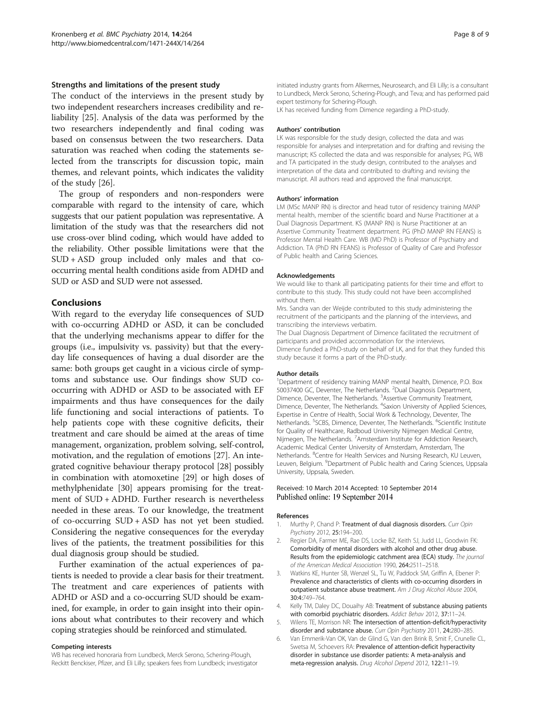#### <span id="page-7-0"></span>Strengths and limitations of the present study

The conduct of the interviews in the present study by two independent researchers increases credibility and reliability [\[25](#page-8-0)]. Analysis of the data was performed by the two researchers independently and final coding was based on consensus between the two researchers. Data saturation was reached when coding the statements selected from the transcripts for discussion topic, main themes, and relevant points, which indicates the validity of the study [\[26](#page-8-0)].

The group of responders and non-responders were comparable with regard to the intensity of care, which suggests that our patient population was representative. A limitation of the study was that the researchers did not use cross-over blind coding, which would have added to the reliability. Other possible limitations were that the SUD + ASD group included only males and that cooccurring mental health conditions aside from ADHD and SUD or ASD and SUD were not assessed.

### Conclusions

With regard to the everyday life consequences of SUD with co-occurring ADHD or ASD, it can be concluded that the underlying mechanisms appear to differ for the groups (i.e., impulsivity vs. passivity) but that the everyday life consequences of having a dual disorder are the same: both groups get caught in a vicious circle of symptoms and substance use. Our findings show SUD cooccurring with ADHD or ASD to be associated with EF impairments and thus have consequences for the daily life functioning and social interactions of patients. To help patients cope with these cognitive deficits, their treatment and care should be aimed at the areas of time management, organization, problem solving, self-control, motivation, and the regulation of emotions [\[27](#page-8-0)]. An integrated cognitive behaviour therapy protocol [\[28\]](#page-8-0) possibly in combination with atomoxetine [\[29](#page-8-0)] or high doses of methylphenidate [\[30\]](#page-8-0) appears promising for the treatment of SUD + ADHD. Further research is nevertheless needed in these areas. To our knowledge, the treatment of co-occurring SUD + ASD has not yet been studied. Considering the negative consequences for the everyday lives of the patients, the treatment possibilities for this dual diagnosis group should be studied.

Further examination of the actual experiences of patients is needed to provide a clear basis for their treatment. The treatment and care experiences of patients with ADHD or ASD and a co-occurring SUD should be examined, for example, in order to gain insight into their opinions about what contributes to their recovery and which coping strategies should be reinforced and stimulated.

#### Competing interests

WB has received honoraria from Lundbeck, Merck Serono, Schering-Plough, Reckitt Benckiser, Pfizer, and Eli Lilly; speakers fees from Lundbeck; investigator

initiated industry grants from Alkermes, Neurosearch, and Eli Lilly; is a consultant to Lundbeck, Merck Serono, Schering-Plough, and Teva; and has performed paid expert testimony for Schering-Plough.

LK has received funding from Dimence regarding a PhD-study.

#### Authors' contribution

LK was responsible for the study design, collected the data and was responsible for analyses and interpretation and for drafting and revising the manuscript; KS collected the data and was responsible for analyses; PG, WB and TA participated in the study design, contributed to the analyses and interpretation of the data and contributed to drafting and revising the manuscript. All authors read and approved the final manuscript.

#### Authors' information

LM (MSc MANP RN) is director and head tutor of residency training MANP mental health, member of the scientific board and Nurse Practitioner at a Dual Diagnosis Department. KS (MANP RN) is Nurse Practitioner at an Assertive Community Treatment department. PG (PhD MANP RN FEANS) is Professor Mental Health Care. WB (MD PhD) is Professor of Psychiatry and Addiction. TA (PhD RN FEANS) is Professor of Quality of Care and Professor of Public health and Caring Sciences.

#### Acknowledgements

We would like to thank all participating patients for their time and effort to contribute to this study. This study could not have been accomplished without them.

Mrs. Sandra van der Weijde contributed to this study administering the recruitment of the participants and the planning of the interviews, and transcribing the interviews verbatim.

The Dual Diagnosis Department of Dimence facilitated the recruitment of participants and provided accommodation for the interviews. Dimence funded a PhD-study on behalf of LK, and for that they funded this study because it forms a part of the PhD-study.

#### Author details

<sup>1</sup>Department of residency training MANP mental health, Dimence, P.O. Box 50037400 GC, Deventer, The Netherlands. <sup>2</sup>Dual Diagnosis Department, Dimence, Deventer, The Netherlands. <sup>3</sup>Assertive Community Treatment Dimence, Deventer, The Netherlands. <sup>4</sup>Saxion University of Applied Sciences Expertise in Centre of Health, Social Work & Technology, Deventer, The Netherlands. <sup>5</sup>SCBS, Dimence, Deventer, The Netherlands. <sup>6</sup>Scientific Institute for Quality of Healthcare, Radboud University Nijmegen Medical Centre, Nijmegen, The Netherlands. <sup>7</sup>Amsterdam Institute for Addiction Research Academic Medical Center University of Amsterdam, Amsterdam, The Netherlands. <sup>8</sup>Centre for Health Services and Nursing Research, KU Leuven, Leuven, Belgium. <sup>9</sup>Department of Public health and Caring Sciences, Uppsala University, Uppsala, Sweden.

#### Received: 10 March 2014 Accepted: 10 September 2014 Published online: 19 September 2014

#### References

- 1. Murthy P, Chand P: Treatment of dual diagnosis disorders. Curr Opin Psychiatry 2012, 25:194–200.
- 2. Regier DA, Farmer ME, Rae DS, Locke BZ, Keith SJ, Judd LL, Goodwin FK: Comorbidity of mental disorders with alcohol and other drug abuse. Results from the epidemiologic catchment area (ECA) study. The journal of the American Medical Association 1990, 264:2511–2518.
- 3. Watkins KE, Hunter SB, Wenzel SL, Tu W, Paddock SM, Griffin A, Ebener P: Prevalence and characteristics of clients with co-occurring disorders in outpatient substance abuse treatment. Am J Drug Alcohol Abuse 2004, 30:4:749–764.
- 4. Kelly TM, Daley DC, Douaihy AB: Treatment of substance abusing patients with comorbid psychiatric disorders. Addict Behav 2012, 37:11-24
- 5. Wilens TE, Morrison NR: The intersection of attention-deficit/hyperactivity disorder and substance abuse. Curr Opin Psychiatry 2011, 24:280-285.
- 6. Van Emmerik-Van OK, Van de Glind G, Van den Brink B, Smit F, Crunelle CL, Swetsa M, Schoevers RA: Prevalence of attention-deficit hyperactivity disorder in substance use disorder patients: A meta-analysis and meta-regression analysis. Drug Alcohol Depend 2012, 122:11–19.